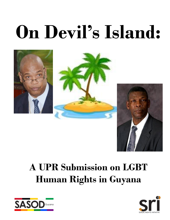# **On Devil's Island:**





## **A UPR Submission on LGBT Human Rights in Guyana**



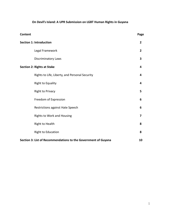### **On Devil's Island: A UPR Submission on LGBT Human Rights in Guyana**

| <b>Content</b>                                                 | Page           |
|----------------------------------------------------------------|----------------|
| <b>Section 1: Introduction</b>                                 | $\overline{2}$ |
| Legal Framework                                                | $\overline{2}$ |
| <b>Discriminatory Laws</b>                                     | 3              |
| <b>Section 2: Rights at Stake</b>                              | 4              |
| Rights to Life, Liberty, and Personal Security                 | 4              |
| <b>Right to Equality</b>                                       | 4              |
| <b>Right to Privacy</b>                                        | 5              |
| Freedom of Expression                                          | 6              |
| Restrictions against Hate Speech                               | 6              |
| Rights to Work and Housing                                     | 7              |
| <b>Right to Health</b>                                         | 8              |
| <b>Right to Education</b>                                      | 8              |
| Section 3: List of Recommendations to the Government of Guyana | 10             |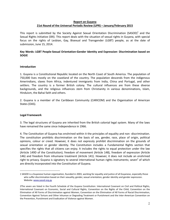#### **Report on Guyana 21st Round of the Universal Periodic Review (UPR) – January/February 2015**

This report is submitted by the Society Against Sexual Orientation Discrimination (SASOD)<sup>1</sup> and the Sexual Rights Initiative (SRI). This report deals with the situation of sexual rights in Guyana, with special focus on the rights of Lesbian, Gay, Bisexual and Transgender (LGBT) people, as at the date of submission, June 15, 2014.

#### **Key Words: LGBT People-Sexual Orientation-Gender Identity and Expression- Discrimination based on SOGIE**

#### **Introduction**

1. Guyana is a Constitutional Republic located on the North Coast of South America. The population of 750,000 lives mostly on the coastland of the country. The population descends from the indigenous Amerindians, slaves from Africa, indentured immigrants from India, China and Portugal, and other settlers. The country is a former British colony. The cultural influences are from these diverse backgrounds, and the religious influences stem from Christianity in various denominations, Islam, Hinduism, the Bahai faith and others.

2. Guyana is a member of the Caribbean Community (CARICOM) and the Organisation of American States (OAS).

#### **Legal Framework**

i.

3. The legal structures of Guyana are inherited from the British colonial legal system. Many of the laws have remained the same since Independence in 1966.

4. The Constitution of Guyana has enshrined within it the principles of equality and non -discrimination. The constitution prohibits discrimination on the basis of sex, gender, race, place of origin, political opinions, colour or creed. However, it does not expressly prohibit discrimination on the grounds of sexual orientation or gender identity. The Constitution includes a Fundamental Rights section that specifies the rights that all citizens can enjoy. It includes the rights to equal protection under the law (Article 149D of the Constitution); freedom of movement (Article 148), freedom of expression (Article 146) and freedom from inhumane treatment (Article 141). However, it does not include an enshrined right to privacy. Guyana is signatory to several international human rights instruments; seven<sup>2</sup> of which are directly incorporated into the Constitution of Guyana.

<sup>1</sup> SASOD is a Guyanese human organisation, founded in 2003, working for equality and justice of all Guyanese, especially those who suffer discrimination based on their sexuality, gender, sexual orientation, gender identity and gender expression. Website[: www.sasod.org.gy](http://www.sasod.org.gy/)

<sup>2</sup>The seven are listed in the Fourth Schedule of the Guyana Constitution: International Covenant on Civil and Political Rights, International Covenant on Economic, Social and Cultural Rights, Convention on the Rights of the Child, Convention on the Elimination of All Forms of Discrimination against Women, Convention on the Elimination of All Forms of Racial Discrimination, Convention Against Torture and Other Inhuman or Degrading Treatment or Punishment and the Inter-American Convention on the Prevention, Punishment and Eradication of Violence against Women.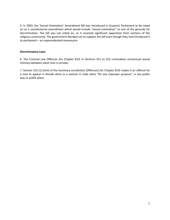5. In 2003, the 'Sexual Orientation' Amendment Bill was introduced in Guyana's Parliament to be voted on as a constitutional amendment which would include "sexual orientation" as one of the grounds for discrimination. The bill was not voted on, as it received significant opposition from sections of the religious community. The government decided not to support the bill even though they had introduced it to parliament – an unprecedented manoeuvre.

#### **Discriminatory Laws**

6. The Criminal Law Offences Act Chapter 8:01 in Sections 351 to 353 criminalises consensual sexual intimacy between adult men in private.

7. Section 153 (1) (xlvii) of the Summary Jurisdiction (Offences) Act Chapter 8:02 makes it an offence for a man to appear in female attire or a woman in male attire "for any improper purpose", in any public way or public place.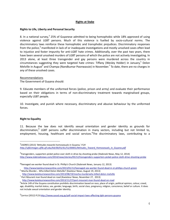#### **Rights at Stake**

#### **Rights to Life, Liberty and Personal Security**

8. In a national survey,<sup>3</sup> 25% of Guyanese admitted to being homophobic while 18% approved of using violence against LGBT persons. Much of this violence is fuelled by socio-cultural norms. The discriminatory laws reinforce these homophobic and transphobic prejudices. Discriminatory responses from the police,<sup>4</sup> manifested in lack of or inadequate investigations and mostly unsolved cases often lead to injustice and foster impunity for anti-LGBT hate crimes. Additionally, over the past two years, there have been several unsolved murders of LGBT persons of which the police are not actively investigating. In 2013 alone, at least three transgender and gay persons were murdered across the country in circumstances suggesting they were targeted hate crimes: Tiffany (Wesley Holder) in January,  $5$  Delon Melville in August<sup>6</sup> and Champa (Nandkumar Poonwassie) in November.<sup>7</sup> To date, there are no charges in any of these unsolved cases.

Recommendations

The Government of Guyana should:

9. Educate members of the uniformed forces (police, prison and army) and evaluate their performance based on their obligations in terms of non-discriminatory treatment towards marginalised groups, especially LGBT people.

10. Investigate, and punish where necessary, discriminatory and abusive behaviour by the uniformed forces.

#### **Right to Equality**

i.

11. Because the law does not identify sexual orientation and gender identity as grounds for discrimination,<sup>8</sup> LGBT persons suffer discrimination in many sectors, including but not limited to, employment, housing, healthcare and social services.<sup>9</sup>The discriminatory laws, contributing to a

<sup>3</sup> CADRES (2013) *'*Attitudes towards homosexuals in Guyana,' *P.24* 

*[http://ufdcimages.uflib.ufl.edu/AA/00/01/61/51/00001/Attitudes\\_Toward\\_Homosexuals\\_in\\_Guyana.pdf](http://ufdcimages.uflib.ufl.edu/AA/00/01/61/51/00001/Attitudes_Toward_Homosexuals_in_Guyana.pdf)*

<sup>4</sup> Transgenders, supporters picket police over sloth in drive-by shooting probe (Stabroek News, May 12, 2014) [http://www.stabroeknews.com/2014/news/stories/05/12/transgenders](http://www.stabroeknews.com/2014/news/stories/05/12/transgenders-supporters-picket-police-sloth-drive-shooting-probe)-supporters-picket-police-sloth-drive-shooting-probe

<sup>5</sup>Teenaged sex worker found dead in St. Phillip's Church (Stabroek News, January 12, 2013)

[http://www.kaieteurnewsonline.com/2013/01/12/teenaged](http://www.kaieteurnewsonline.com/2013/01/12/teenaged-sex-worker-found-dead-in-st-phillips-church-green)-sex-worker-found-dead-in-st-phillips-church-green

<sup>&</sup>lt;sup>6</sup> Mocha Murder... Who killed Delon Melville? (Kaieteur News, August 19, 2013)

[http://www.kaieteurnewsonline.com/2013/08/19/mocha](http://www.kaieteurnewsonline.com/2013/08/19/mocha-murderwho-killed-delon-melville)-murderwho-killed-delon-melville  $<sup>7</sup>$  Port Mourant man found dead on road (Kaeieteur News, November 27, 2013)</sup> [http://www.kaieteurnewsonline.com/2013/11/27/port](http://www.kaieteurnewsonline.com/2013/11/27/port-mourant-man-found-dead-on-road)-mourant-man-found-dead-on-road

 $^8$ Article 149 of the Guyana constitution prohibits discrimination based on race, place of origin, political opinion, colour, creed, age, disability, marital status, sex, gender, language, birth, social class, pregnancy, religion, conscience, belief or culture. It does not include sexual orientation and gender identity.

<sup>&</sup>lt;sup>9</sup>Carrico (2012) P.23:<u>http://www.sasod.org.gy/pdf-social-impact-laws-affecting-lgbt-persons-guyana</u>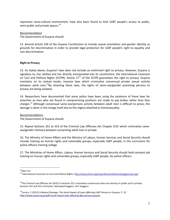repressive socio-cultural environment, have also been found to limit LGBT people's access to public, semi-public and private spaces.<sup>10</sup>

#### Recommendation

The Government of Guyana should:

12. Amend Article 149 of the Guyana Constitution to include sexual orientation and gender identity as grounds for discrimination in order to provide legal protection for LGBT people's right to equality and non-discrimination.

#### **Right to Privacy**

13. As stated above, Guyana's laws does not include an enshrined right to privacy. However, Guyana is signatory to, has ratified and has directly incorporated into its constitution, the International Covenant on Civil and Political Rights (ICCPR). Article  $17<sup>11</sup>$  of the ICCPR guarantees the right to privacy. Guyana maintains on its statute books, invasive laws which criminalise consensual private sexual activity between adult men.<sup>12</sup>By retaining these laws, the rights of same-sex/gender practising persons to privacy are being violated.

14. Researchers have documented that some police have been using the existence of these laws for extortion as men who are found in compromising positions are made to pay bribes rather than face charges.<sup>13</sup> Although consensual same-sex/persons activity between adult men is difficult to prove, the damage is done in the charge itself due to the stigma attached to homosexuality.

#### Recommendations

The Government of Guyana should:

15. Repeal Sections 351 to 353 of the Criminal Law Offenses Act Chapter 8:01 which criminalise samesex/gender intimacy between consenting adult men in private.

16. The Ministry of Home Affairs and the Ministry of Labour, Human Services and Social Security should include training on human rights and vulnerable groups, especially LGBT people, in the curriculum for police officers training college.

17. The Ministries of Home Affairs, Labour, Human Services and Social Security should hold constant job training on human rights and vulnerable groups, especially LGBT people, for police officers.

i.

 $10$ Ibid, P.21

<sup>&</sup>lt;sup>11</sup> International Covenant on Civil and Political Rights:<http://www.ohchr.org/en/professionalinterest/pages/ccpr.aspx>

 $12$ The Criminal Law Offenses Act (8:01) in Sections 351 criminalises consensual same-sex intimacy in public and in private. Sections 352 and 353 criminalise 'attempted buggery' and 'buggery.'

<sup>13</sup>Carrico, C (2012) *Collateral Damage: The Social Impact of Laws Affecting LGBT Persons in Guyana,* P. 19 [http://www.sasod.org.gy/pdf](http://www.sasod.org.gy/pdf-social-impact-laws-affecting-lgbt-persons-guyana)-social-impact-laws-affecting-lgbt-persons-guyana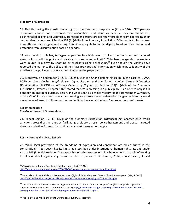#### **Freedom of Expression**

18. Despite having the constitutional right to the freedom of expression (Article 146), LGBT persons oftentimes choose not to express their orientations and identities because they are threatened, discriminated against and victimised. Transgender persons are expressly forbidden from expressing their gender identity because of Section 153 (1) (xlvii) of the Summary Jurisdiction (Offences) Act which makes it an offence of cross-gender dressing. This violates rights to human dignity, freedom of expression and protection from discrimination based on gender.

19. As a result of this law, transgender persons face high levels of direct discrimination and targeted violence from both the police and private actors. As recent as April 7, 2014, two transgender sex workers were injured in a drive-by shooting by assailants using pellet guns.<sup>14</sup> Even though the victims have reported the matter to the police and they have provided vital information which helps to identity of the assailants, the police took over a month to charge the perpetrators.<sup>15</sup>

20. Moreover, on September 6, 2013, Chief Justice Ian Chang issuing his ruling in the case of *Quincy McEwan, Seon Clarke, Joseph Fraser, Seyon Persaud and the Society Against Sexual Orientation Discrimination (SASOD) vs. Attorney General of Guyana* on Section 153(1) (xlvii) of the Summary Jurisdiction (Offences) Chapter 8:02<sup>16</sup> stated that cross-dressing in a public place is an offence only if it is done for an improper purpose. This ruling while seen as a minor victory for the transgender Guyanese, as the Chief Justice states that cross-dressing to express sexual orientation or gender identity could never be an offense, it still very unclear as he did not say what the term "improper purpose" means.

#### Recommendation

i.

The Government of Guyana should:

21. Repeal section 153 (1) (xlvii) of the Summary Jurisdiction (Offences) Act Chapter 8:02 which sanctions cross-dressing thereby facilitating arbitrary arrests, police harassment and abuse, targeted violence and other forms of discrimination against transgender people.

#### **Restrictions against Hate Speech**

22. While legal protection of the freedoms of expression and conscience are all enshrined in the constitution,<sup>17</sup> free speech has its limits, as prescribed under international human rights law and under Article 146 (3) which excludes "hate speeches or other expressions, in whatever form, capable of exciting hostility or ill-will against any person or class of persons." On June 8, 2014, a local pastor, Ronald

<sup>&</sup>lt;sup>14</sup>'Cross dressers shot on King street,' Kaieteur news (April 8, 2014) [http://www.kaieteurnewsonline.com/2014/04/08/two](http://www.kaieteurnewsonline.com/2014/04/08/two-cross-dressing-men-shot-on-king-street)-cross-dressing-men-shot-on-king-street

<sup>&</sup>lt;sup>15</sup>'Sex workers picket Brickdam Police station over p[light of shot colleagues,' Guyana Chronicle newspaper (May 8, 2014) [http://guyanachronicle.com/sex](http://guyanachronicle.com/sex-workers-picket-brickdam-station-over-plight-of-shot-colleagues)-workers-picket-brickdam-station-over-plight-of-shot-colleagues

**<sup>16</sup>**Constitutional Court Rules Cross-Dressing is Not a Crime if Not for "Improper Purpose" - Rights Groups Plan Appeal on Dubious Decision-SASOD Blog (September 27, 2013[\) http://www.sasod.org.gy/sasod-blog-constitutional-court-rules-cross](http://www.sasod.org.gy/sasod-blog-constitutional-court-rules-cross-dressing-not-crime-if-not-%E2%80%9Cimproper-purpose%E2%80%9D-rights)[dressing-not-crime-if-not-%E2%80%9Cimproper-purpose%E2%80%9D-rights](http://www.sasod.org.gy/sasod-blog-constitutional-court-rules-cross-dressing-not-crime-if-not-%E2%80%9Cimproper-purpose%E2%80%9D-rights)

<sup>&</sup>lt;sup>17</sup> Article 146 and Article 145 of the Guyana constitution, respectively.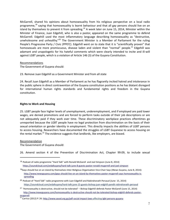McGarrell, shared his opinions about homosexuality from his religious perspective on a local radio programme,<sup>18</sup> saying that homosexuality is learnt behaviour and that all gay persons should live on an island by themselves to prevent it from spreading.<sup>19</sup> A week later on June 15, 2014, Minister within the Minister of Finance, Juan Edgehill, who is also a pastor, appeared on the same programme to defend McGarrell. Edgehill used the most inflammatory language describing homosexuality as "destructive, unwholesome and unhealthy."<sup>20</sup> The Government Minister is a Member of Parliament for the ruling People's Progressive Party / Civic (PPP/C). Edgehill went on to state that it is "scientifically proven" that homosexuals are more promiscuous, disease laden and violent than "normal" people.<sup>21</sup> Edgehill was adamant and unapologetic for his hateful comments which were clearly intended to incite and ill-will against LGBT people, which is a violation of Article 146 (3) of the Guyana Constitution.

Recommendations

The Government of Guyana should:

23. Remove Juan Edgehill as a Government Minister and from all state

24. Recall Juan Edgehill as a Member of Parliament as he has flagrantly incited hatred and intolerance in the public sphere in direct contravention of the Guyana constitution positions as he has blatant disregard for international human rights standards and fundamental rights and freedom in the Guyana constitution.

#### **Rights to Work and Housing**

25. LGBT people face higher levels of unemployment, underemployment, and if employed are paid lower wages, are denied promotions and are forced to perform tasks outside of their job descriptions or are not adequately paid if they work over time. These discriminatory workplace practices oftentimes go unreported because the LGBT people have no legal protection from discrimination on the basis of their sexual orientation or gender identity in employment. This directly impacts the abilities of LGBT persons to access housing. Researchers have documented the struggles of LGBT Guyanese to access housing on the rental market.<sup>22</sup> The evidence suggests that landlords, like employers, are biased.

Recommendation

i.

The Government of Guyana should:

26. Amend section 4 of the Prevention of Discrimination Act, Chapter 99:09, to include sexual

<sup>&</sup>lt;sup>18</sup> Podcast of radio programme "Hard Talk" with Ronald McGarell and Joel Simpson (June 8, 2014) [https://soundcloud.com/ardalkuyana/hard](https://soundcloud.com/ardalkuyana/hard-talk-june-8-guests-pastor-ronald-mcgarrell-and-joel-simpson)-talk-june-8-guests-pastor-ronald-mcgarrell-and-joel-simpson

<sup>&</sup>lt;sup>19</sup>Gays should live on an island by themselves-Inter-Religious Organisation Vice-Chair Says (iNews Guyana, June 8, 2014): [http://www.inewsguyana.com/gays](http://www.inewsguyana.com/gays-should-live-on-an-island-by-themselves-pastor-mcgarrell-says-homosexuality-is-spreading)-should-live-on-an-island-by-themselves-pastor-mcgarrell-says-homosexuality-is[spreading](http://www.inewsguyana.com/gays-should-live-on-an-island-by-themselves-pastor-mcgarrell-says-homosexuality-is-spreading)

<sup>20</sup> Podcast of "Hard Talk" radio programme with Juan Edgehill and Rabindranath Persaud (June 15, 2014) [https://soundcloud.com/ardalkuyana/hard](https://soundcloud.com/ardalkuyana/hard-talk-june-15-guests-bishop-juan-edghill-pandit-rabindranath-persaud)-talk-june-15-guests-bishop-juan-edghill-pandit-rabindranath-persaud

<sup>21</sup> 'Homosexuality is destructive, should not be tolerated' – Bishop Edgehill defends Pastor McGarell (June 15, 2014) [http://www.inewsguyana.com/homosexuality](http://www.inewsguyana.com/homosexuality-is-destructive-should-not-be-tolerated-bishop-edghill-defends-pastor-mcgarrell)-is-destructive-should-not-be-tolerated-bishop-edghill-defends-pastor[mcgarrell](http://www.inewsguyana.com/homosexuality-is-destructive-should-not-be-tolerated-bishop-edghill-defends-pastor-mcgarrell)

<sup>&</sup>lt;sup>22</sup> Carrico (2012) P. 26[: http://www.sasod.org.gy/pdf](http://www.sasod.org.gy/pdf-social-impact-laws-affecting-lgbt-persons-guyana)-social-impact-laws-affecting-lgbt-persons-guyana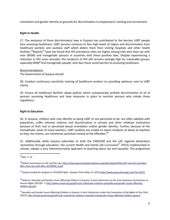orientation and gender identity as grounds for discrimination in employment, training and recruitment.

#### **Right to Health**

27. The existence of these discriminatory laws in Guyana has contributed to the barriers LGBT people face accessing healthcare. LGBT persons continue to face high levels of stigma and discrimination from healthcare workers and auxiliary staff which deters them from visiting hospitals and other health facilities.<sup>23</sup>Reports<sup>24</sup> have has found that HIV prevalence rates are higher among men who have sex with men (MSM) and transgender persons in countries with these punitive laws. Despite experiencing a reduction in HIV cases annually, the incidence of HIV still remains vexingly high for vulnerable groups, especially MSM<sup>25</sup>and transgender people, who face these social barriers to accessing healthcare.

#### Recommendations

The Government of Guyana should:

28. Conduct continuous sensitivity training of healthcare workers on providing optimum care to LGBT clients.

29. Ensure all healthcare facilities adopt policies which unequivocally prohibit discrimination of all of persons accessing healthcare and have measures in place to sanction persons who violate these regulations.

#### **Right to Education**

30. In Guyana, children who may identify as being LGBT or are perceived to be, are often labelled with pejoratives, suffer extreme violence and discrimination in schools and other childcare institutions because of their real or perceived sexual orientation and/or gender identity. Further, because of the homophobic views of many teachers, LGBT students are unable to report incidents of abuse to teachers as they, the victims, are sometimes punished instead of the offenders.<sup>26</sup>

31. Additionally, while Guyana subscribes to both the CARICOM and the LAC regional declaration 'prevention through education,' the current Health and Family Life Curriculum<sup>27</sup> (HFLE) implemented in schools, adopts a very heteronormative approach to teaching about sex and sexuality. The programme

i.

 $23$ Ibid, P. 32

<sup>&</sup>lt;sup>24</sup>Global Commission on HIV and the Law: [http://www.opensocietyfoundations.org/sites/default/files/HIV](http://www.opensocietyfoundations.org/sites/default/files/HIV-and-the-Law-Men-Who-Have-Sex-with-Men-20130930_0.pdf)-and-the-Law-Men-Who-Have-Sex-with-Men-[20130930\\_0.pdf](http://www.opensocietyfoundations.org/sites/default/files/HIV-and-the-Law-Men-Who-Have-Sex-with-Men-20130930_0.pdf)

<sup>25</sup>'Guyana lauded for progress in HIV/AIDS fight', *Guyana Times* (May 13, 2013[\):http://www.guyanatimesgy.com/?p=14223](http://www.guyanatimesgy.com/?p=14223)

<sup>&</sup>lt;sup>26</sup>Violence, Sexuality and Gender Issues Affecting Children in Guyana: A Joint Submission to the Inter-American Commission on Human Rights (2013)P. 7[: http://www.sasod.org.gy/pdf-iachr-submission-violence-sexuality-and-gender-issues-affecting](http://www.sasod.org.gy/pdf-iachr-submission-violence-sexuality-and-gender-issues-affecting-children-guyana)[children-guyana](http://www.sasod.org.gy/pdf-iachr-submission-violence-sexuality-and-gender-issues-affecting-children-guyana)

<sup>&</sup>lt;sup>27</sup>Sexuality and Gender Issues Affecting Children in Guyana: A Joint Submission under the Convention of the Rights of the Child (2013)[: http://www.sasod.org.gy/pdf](http://www.sasod.org.gy/pdf-iachr-submission-violence-sexuality-and-gender-issues-affecting-children-guyana)-iachr-submission-violence-sexuality-and-gender-issues-affecting-children-guyana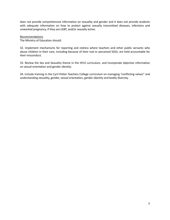does not provide comprehensive information on sexuality and gender and it does not provide students with adequate information on how to protect against sexually transmitted diseases, infections and unwanted pregnancy, if they are LGBT, and/or sexually active.

#### Recommendations

The Ministry of Education should:

32. Implement mechanisms for reporting and redress where teachers and other public servants who abuse children in their care, including because of their real or perceived SOGI, are held accountable for their misconduct.

33. Review the Sex and Sexuality theme in the HFLE curriculum, and incorporate objective information on sexual orientation and gender identity.

34. Include training in the Cyril Potter Teachers College curriculum on managing "conflicting values" and understanding sexuality, gender, sexual orientation, gender identity and bodily diversity.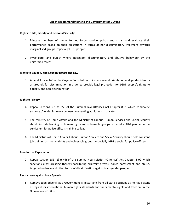#### **List of Recommendations to the Government of Guyana**

#### **Rights to Life, Liberty and Personal Security**

- 1. Educate members of the uniformed forces (police, prison and army) and evaluate their performance based on their obligations in terms of non-discriminatory treatment towards marginalised groups, especially LGBT people.
- 2. Investigate, and punish where necessary, discriminatory and abusive behaviour by the uniformed forces.

#### **Rights to Equality and Equality before the Law**

3. Amend Article 149 of the Guyana Constitution to include sexual orientation and gender identity as grounds for discrimination in order to provide legal protection for LGBT people's rights to equality and non-discrimination.

#### **Right to Privacy**

- 4. Repeal Sections 351 to 353 of the Criminal Law Offenses Act Chapter 8:01 which criminalise same-sex/gender intimacy between consenting adult men in private.
- 5. The Ministry of Home Affairs and the Ministry of Labour, Human Services and Social Security should include training on human rights and vulnerable groups, especially LGBT people, in the curriculum for police officers training college.
- 6. The Ministries of Home Affairs, Labour, Human Services and Social Security should hold constant job training on human rights and vulnerable groups, especially LGBT people, for police officers.

#### **Freedom of Expression**

7. Repeal section 153 (1) (xlvii) of the Summary Jurisdiction (Offences) Act Chapter 8:02 which sanctions cross-dressing thereby facilitating arbitrary arrests, police harassment and abuse, targeted violence and other forms of discrimination against transgender people.

#### **Restrictions against Hate Speech**

8. Remove Juan Edgehill as a Government Minister and from all state positions as he has blatant disregard for international human rights standards and fundamental rights and freedom in the Guyana constitution.